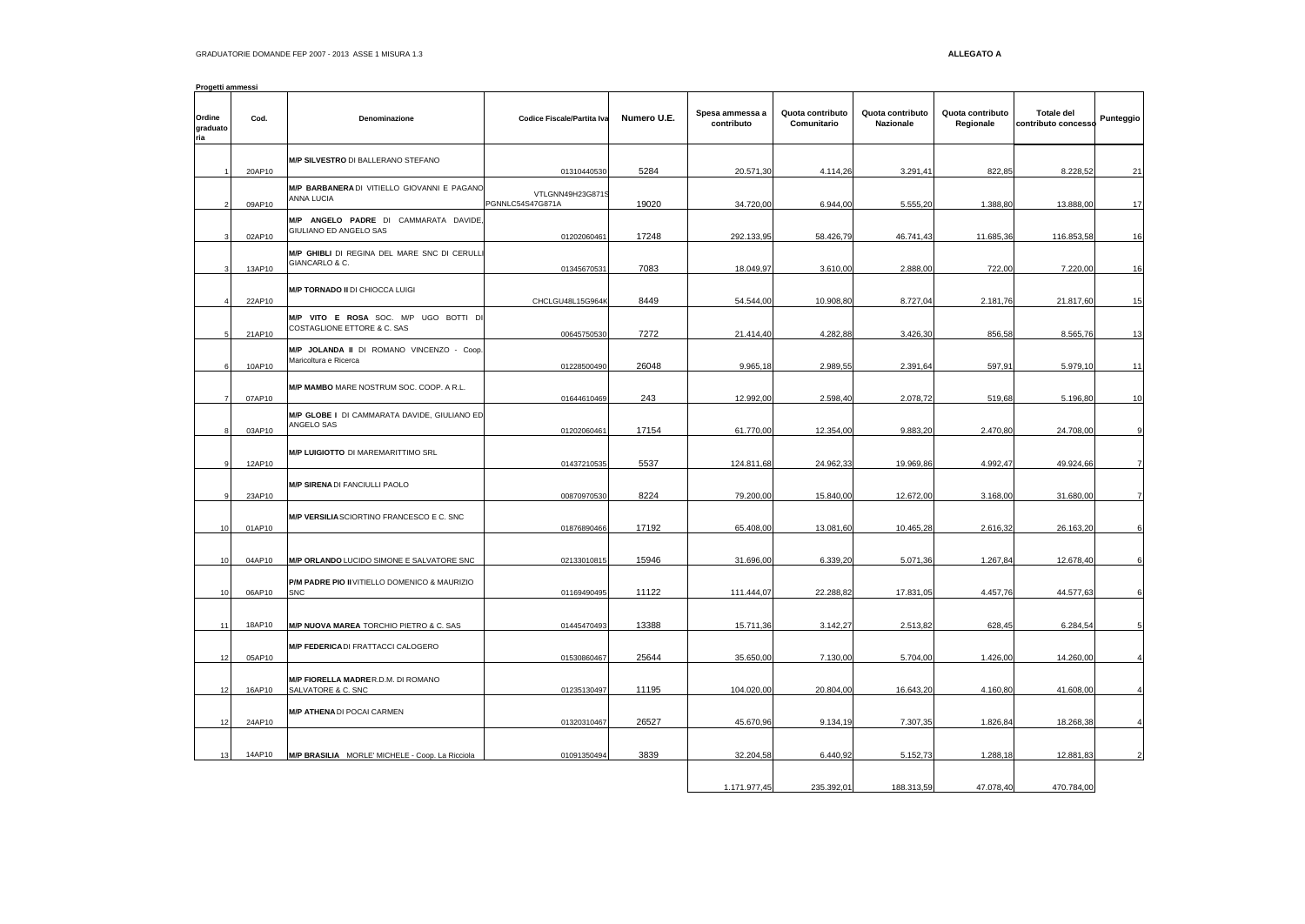| Progetti ammessi          |        |                                                                      |                                      |             |                               |                                 |                               |                               |                                          |                |
|---------------------------|--------|----------------------------------------------------------------------|--------------------------------------|-------------|-------------------------------|---------------------------------|-------------------------------|-------------------------------|------------------------------------------|----------------|
| Ordine<br>graduato<br>ria | Cod.   | Denominazione                                                        | Codice Fiscale/Partita Iva           | Numero U.E. | Spesa ammessa a<br>contributo | Quota contributo<br>Comunitario | Quota contributo<br>Nazionale | Quota contributo<br>Regionale | <b>Totale del</b><br>contributo concesso | Punteggio      |
|                           | 20AP10 | M/P SILVESTRO DI BALLERANO STEFANO                                   | 01310440530                          | 5284        | 20.571,30                     | 4.114,26                        | 3.291,41                      | 822,85                        | 8.228,52                                 | 21             |
|                           | 09AP10 | M/P BARBANERADI VITIELLO GIOVANNI E PAGANO<br>ANNA LUCIA             | VTLGNN49H23G8719<br>PGNNLC54S47G871A | 19020       | 34.720,00                     | 6.944,00                        | 5.555,20                      | 1.388,80                      | 13.888,00                                | 17             |
|                           | 02AP10 | M/P ANGELO PADRE DI CAMMARATA DAVIDE,<br>GIULIANO ED ANGELO SAS      | 01202060461                          | 17248       | 292.133,95                    | 58.426,79                       | 46.741,43                     | 11.685,36                     | 116.853,58                               | 16             |
|                           | 13AP10 | M/P GHIBLI DI REGINA DEL MARE SNC DI CERULL<br>GIANCARLO & C.        | 01345670531                          | 7083        | 18.049,97                     | 3.610,00                        | 2.888,00                      | 722,00                        | 7.220,00                                 | 16             |
|                           | 22AP10 | <b>M/P TORNADO II DI CHIOCCA LUIGI</b>                               | CHCLGU48L15G964K                     | 8449        | 54.544.00                     | 10,908.80                       | 8.727,04                      | 2.181,76                      | 21.817,60                                | 15             |
|                           | 21AP10 | M/P VITO E ROSA SOC. M/P UGO BOTTI DI<br>COSTAGLIONE ETTORE & C. SAS | 00645750530                          | 7272        | 21.414,40                     | 4.282,88                        | 3.426,30                      | 856,58                        | 8.565,76                                 | 13             |
|                           | 10AP10 | M/P JOLANDA II DI ROMANO VINCENZO - Coop.<br>Maricoltura e Ricerca   | 01228500490                          | 26048       | 9.965,18                      | 2.989,55                        | 2.391,64                      | 597,91                        | 5.979,10                                 | 11             |
|                           | 07AP10 | M/P MAMBO MARE NOSTRUM SOC. COOP. A R.L.                             | 01644610469                          | 243         | 12.992,00                     | 2.598,40                        | 2.078,72                      | 519.68                        | 5.196,80                                 | 10             |
|                           | 03AP10 | M/P GLOBE I DI CAMMARATA DAVIDE, GIULIANO ED<br>ANGELO SAS           | 01202060461                          | 17154       | 61.770,00                     | 12.354.00                       | 9.883.20                      | 2.470,80                      | 24.708,00                                | 9              |
|                           | 12AP10 | M/P LUIGIOTTO DI MAREMARITTIMO SRL                                   | 01437210535                          | 5537        | 124.811,68                    | 24.962,33                       | 19.969,86                     | 4.992,47                      | 49.924,66                                | $\overline{7}$ |
|                           | 23AP10 | <b>M/P SIRENA DI FANCIULLI PAOLO</b>                                 | 00870970530                          | 8224        | 79.200,00                     | 15.840,00                       | 12.672,00                     | 3.168,00                      | 31.680,00                                | $\overline{7}$ |
| 10                        | 01AP10 | M/P VERSILIA SCIORTINO FRANCESCO E C. SNC                            | 01876890466                          | 17192       | 65.408,00                     | 13.081,60                       | 10.465,28                     | 2.616,32                      | 26.163,20                                | 6              |
| 10                        | 04AP10 | M/P ORLANDO LUCIDO SIMONE E SALVATORE SNC                            | 02133010815                          | 15946       | 31.696,00                     | 6.339,20                        | 5.071,36                      | 1.267,84                      | 12.678,40                                |                |
| 10                        | 06AP10 | P/M PADRE PIO II VITIELLO DOMENICO & MAURIZIO<br><b>SNC</b>          | 01169490495                          | 11122       | 111.444,07                    | 22.288,82                       | 17.831,05                     | 4.457,76                      | 44.577,63                                | 6              |
| 11                        | 18AP10 | M/P NUOVA MAREA TORCHIO PIETRO & C. SAS                              | 01445470493                          | 13388       | 15.711,36                     | 3.142,27                        | 2.513,82                      | 628,45                        | 6.284,54                                 |                |
| 12                        | 05AP10 | <b>M/P FEDERICA</b> DI FRATTACCI CALOGERO                            | 01530860467                          | 25644       | 35.650.00                     | 7.130.00                        | 5.704.00                      | 1.426.00                      | 14.260.00                                |                |
| 12                        | 16AP10 | M/P FIORELLA MADRER.D.M. DI ROMANO<br>SALVATORE & C. SNC             | 01235130497                          | 11195       | 104.020,00                    | 20.804,00                       | 16.643,20                     | 4.160,80                      | 41.608,00                                |                |
| 12                        | 24AP10 | <b>M/P ATHENA DI POCAI CARMEN</b>                                    | 01320310467                          | 26527       | 45.670,96                     | 9.134,19                        | 7.307,35                      | 1.826,84                      | 18.268,38                                |                |
|                           | 14AP10 | M/P BRASILIA MORLE' MICHELE - Coop. La Ricciola                      | 01091350494                          | 3839        | 32.204,58                     | 6.440,92                        | 5.152,73                      | 1.288,18                      | 12.881,83                                |                |
|                           |        |                                                                      |                                      |             | 1.171.977,45                  | 235.392.0                       | 188.313.59                    | 47.078.40                     | 470.784,00                               |                |